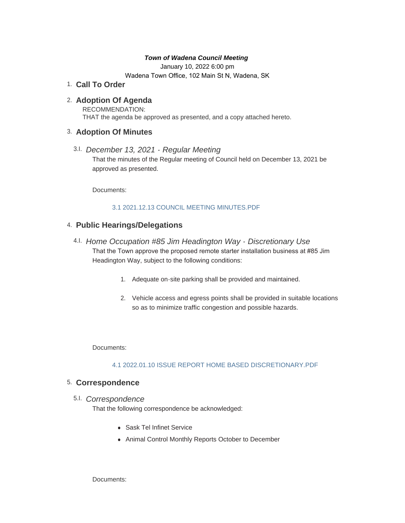#### *Town of Wadena Council Meeting*

January 10, 2022 6:00 pm Wadena Town Office, 102 Main St N, Wadena, SK

**Call To Order** 1.

# **Adoption Of Agenda** 2.

RECOMMENDATION: THAT the agenda be approved as presented, and a copy attached hereto.

## **Adoption Of Minutes** 3.

*December 13, 2021 - Regular Meeting*  3.I. That the minutes of the Regular meeting of Council held on December 13, 2021 be approved as presented.

Documents:

### [3.1 2021.12.13 COUNCIL MEETING MINUTES.PDF](http://townofwadena.com/AgendaCenter/ViewFile/Item/3269?fileID=3883)

# **Public Hearings/Delegations** 4.

- *Home Occupation #85 Jim Headington Way Discretionary Use* 4.I. That the Town approve the proposed remote starter installation business at #85 Jim Headington Way, subject to the following conditions:
	- 1. Adequate on-site parking shall be provided and maintained.
	- 2. Vehicle access and egress points shall be provided in suitable locations so as to minimize traffic congestion and possible hazards.

Documents:

### [4.1 2022.01.10 ISSUE REPORT HOME BASED DISCRETIONARY.PDF](http://townofwadena.com/AgendaCenter/ViewFile/Item/3300?fileID=3884)

## **Correspondence** 5.

## *Correspondence* 5.I.

That the following correspondence be acknowledged:

- Sask Tel Infinet Service
- Animal Control Monthly Reports October to December

Documents: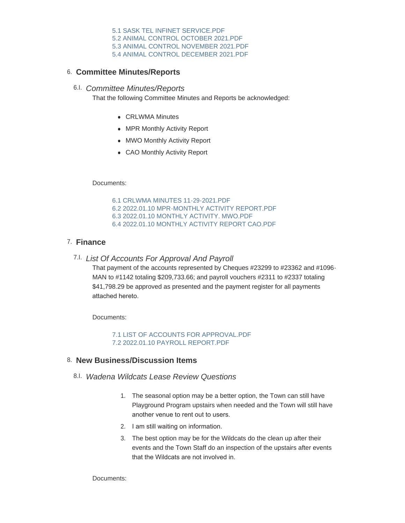[5.1 SASK TEL INFINET SERVICE.PDF](http://townofwadena.com/AgendaCenter/ViewFile/Item/3272?fileID=3885) [5.2 ANIMAL CONTROL OCTOBER 2021.PDF](http://townofwadena.com/AgendaCenter/ViewFile/Item/3272?fileID=3902) [5.3 ANIMAL CONTROL NOVEMBER 2021.PDF](http://townofwadena.com/AgendaCenter/ViewFile/Item/3272?fileID=3903) [5.4 ANIMAL CONTROL DECEMBER 2021.PDF](http://townofwadena.com/AgendaCenter/ViewFile/Item/3272?fileID=3904)

## **Committee Minutes/Reports** 6.

## *Committee Minutes/Reports* 6.I.

That the following Committee Minutes and Reports be acknowledged:

- CRLWMA Minutes
- MPR Monthly Activity Report
- MWO Monthly Activity Report
- CAO Monthly Activity Report

Documents:

[6.1 CRLWMA MINUTES 11-29-2021.PDF](http://townofwadena.com/AgendaCenter/ViewFile/Item/3274?fileID=3889) [6.2 2022.01.10 MPR-MONTHLY ACTIVITY REPORT.PDF](http://townofwadena.com/AgendaCenter/ViewFile/Item/3274?fileID=3890) [6.3 2022.01.10 MONTHLY ACTIVITY. MWO.PDF](http://townofwadena.com/AgendaCenter/ViewFile/Item/3274?fileID=3891) [6.4 2022.01.10 MONTHLY ACTIVITY REPORT CAO.PDF](http://townofwadena.com/AgendaCenter/ViewFile/Item/3274?fileID=3892)

# **Finance** 7.

*List Of Accounts For Approval And Payroll* 7.I.

That payment of the accounts represented by Cheques #23299 to #23362 and #1096- MAN to #1142 totaling \$209,733.66; and payroll vouchers #2311 to #2337 totaling \$41,798.29 be approved as presented and the payment register for all payments attached hereto.

Documents:

[7.1 LIST OF ACCOUNTS FOR APPROVAL.PDF](http://townofwadena.com/AgendaCenter/ViewFile/Item/3276?fileID=3900) [7.2 2022.01.10 PAYROLL REPORT.PDF](http://townofwadena.com/AgendaCenter/ViewFile/Item/3276?fileID=3901)

## **New Business/Discussion Items** 8.

- *Wadena Wildcats Lease Review Questions* 8.I.
	- 1. The seasonal option may be a better option, the Town can still have Playground Program upstairs when needed and the Town will still have another venue to rent out to users.
	- 2. I am still waiting on information.
	- 3. The best option may be for the Wildcats do the clean up after their events and the Town Staff do an inspection of the upstairs after events that the Wildcats are not involved in.

Documents: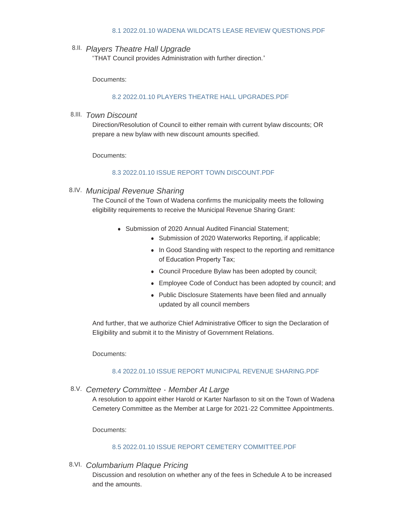#### [8.1 2022.01.10 WADENA WILDCATS LEASE REVIEW QUESTIONS.PDF](http://townofwadena.com/AgendaCenter/ViewFile/Item/3301?fileID=3893)

## *Players Theatre Hall Upgrade* 8.II.

"THAT Council provides Administration with further direction."

Documents:

#### [8.2 2022.01.10 PLAYERS THEATRE HALL UPGRADES.PDF](http://townofwadena.com/AgendaCenter/ViewFile/Item/3302?fileID=3894)

## *Town Discount* 8.III.

Direction/Resolution of Council to either remain with current bylaw discounts; OR prepare a new bylaw with new discount amounts specified.

Documents:

#### [8.3 2022.01.10 ISSUE REPORT TOWN DISCOUNT.PDF](http://townofwadena.com/AgendaCenter/ViewFile/Item/3303?fileID=3895)

## *Municipal Revenue Sharing* 8.IV.

The Council of the Town of Wadena confirms the municipality meets the following eligibility requirements to receive the Municipal Revenue Sharing Grant:

- Submission of 2020 Annual Audited Financial Statement:
	- Submission of 2020 Waterworks Reporting, if applicable;
	- In Good Standing with respect to the reporting and remittance of Education Property Tax;
	- Council Procedure Bylaw has been adopted by council;
	- Employee Code of Conduct has been adopted by council; and
	- Public Disclosure Statements have been filed and annually updated by all council members

And further, that we authorize Chief Administrative Officer to sign the Declaration of Eligibility and submit it to the Ministry of Government Relations.

Documents:

#### [8.4 2022.01.10 ISSUE REPORT MUNICIPAL REVENUE SHARING.PDF](http://townofwadena.com/AgendaCenter/ViewFile/Item/3304?fileID=3896)

*Cemetery Committee - Member At Large* 8.V.

A resolution to appoint either Harold or Karter Narfason to sit on the Town of Wadena Cemetery Committee as the Member at Large for 2021-22 Committee Appointments.

Documents:

#### [8.5 2022.01.10 ISSUE REPORT CEMETERY COMMITTEE.PDF](http://townofwadena.com/AgendaCenter/ViewFile/Item/3305?fileID=3897)

*Columbarium Plaque Pricing* 8.VI.

Discussion and resolution on whether any of the fees in Schedule A to be increased and the amounts.